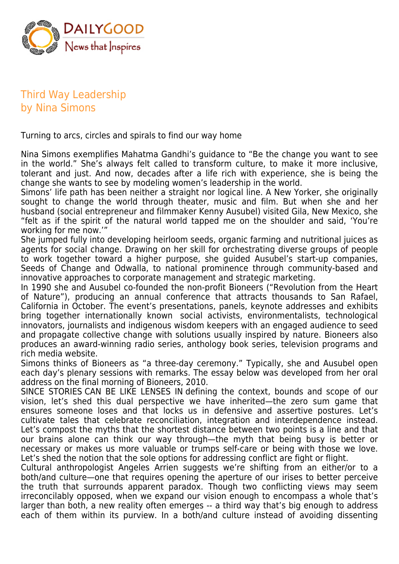

## Third Way Leadership by Nina Simons

Turning to arcs, circles and spirals to find our way home

Nina Simons exemplifies Mahatma Gandhi's guidance to "Be the change you want to see in the world." She's always felt called to transform culture, to make it more inclusive, tolerant and just. And now, decades after a life rich with experience, she is being the change she wants to see by modeling women's leadership in the world.

Simons' life path has been neither a straight nor logical line. A New Yorker, she originally sought to change the world through theater, music and film. But when she and her husband (social entrepreneur and filmmaker Kenny Ausubel) visited Gila, New Mexico, she "felt as if the spirit of the natural world tapped me on the shoulder and said, 'You're working for me now.'"

She jumped fully into developing heirloom seeds, organic farming and nutritional juices as agents for social change. Drawing on her skill for orchestrating diverse groups of people to work together toward a higher purpose, she guided Ausubel's start-up companies, Seeds of Change and Odwalla, to national prominence through community-based and innovative approaches to corporate management and strategic marketing.

In 1990 she and Ausubel co-founded the non-profit Bioneers ("Revolution from the Heart of Nature"), producing an annual conference that attracts thousands to San Rafael, California in October. The event's presentations, panels, keynote addresses and exhibits bring together internationally known social activists, environmentalists, technological innovators, journalists and indigenous wisdom keepers with an engaged audience to seed and propagate collective change with solutions usually inspired by nature. Bioneers also produces an award-winning radio series, anthology book series, television programs and rich media website.

Simons thinks of Bioneers as "a three-day ceremony." Typically, she and Ausubel open each day's plenary sessions with remarks. The essay below was developed from her oral address on the final morning of Bioneers, 2010.

SINCE STORIES CAN BE LIKE LENSES IN defining the context, bounds and scope of our vision, let's shed this dual perspective we have inherited—the zero sum game that ensures someone loses and that locks us in defensive and assertive postures. Let's cultivate tales that celebrate reconciliation, integration and interdependence instead. Let's compost the myths that the shortest distance between two points is a line and that our brains alone can think our way through—the myth that being busy is better or necessary or makes us more valuable or trumps self-care or being with those we love. Let's shed the notion that the sole options for addressing conflict are fight or flight.

Cultural anthropologist Angeles Arrien suggests we're shifting from an either/or to a both/and culture—one that requires opening the aperture of our irises to better perceive the truth that surrounds apparent paradox. Though two conflicting views may seem irreconcilably opposed, when we expand our vision enough to encompass a whole that's larger than both, a new reality often emerges -- a third way that's big enough to address each of them within its purview. In a both/and culture instead of avoiding dissenting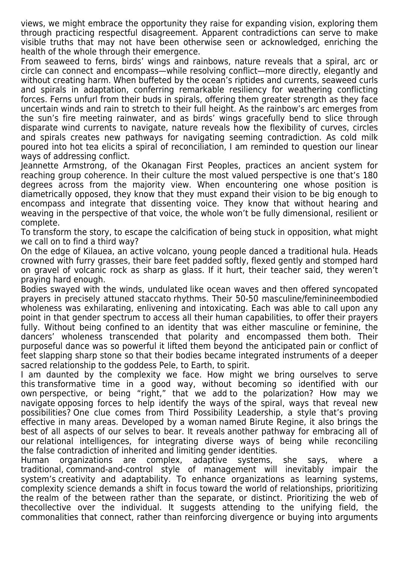views, we might embrace the opportunity they raise for expanding vision, exploring them through practicing respectful disagreement. Apparent contradictions can serve to make visible truths that may not have been otherwise seen or acknowledged, enriching the health of the whole through their emergence.

From seaweed to ferns, birds' wings and rainbows, nature reveals that a spiral, arc or circle can connect and encompass—while resolving conflict—more directly, elegantly and without creating harm. When buffeted by the ocean's riptides and currents, seaweed curls and spirals in adaptation, conferring remarkable resiliency for weathering conflicting forces. Ferns unfurl from their buds in spirals, offering them greater strength as they face uncertain winds and rain to stretch to their full height. As the rainbow's arc emerges from the sun's fire meeting rainwater, and as birds' wings gracefully bend to slice through disparate wind currents to navigate, nature reveals how the flexibility of curves, circles and spirals creates new pathways for navigating seeming contradiction. As cold milk poured into hot tea elicits a spiral of reconciliation, I am reminded to question our linear ways of addressing conflict.

Jeannette Armstrong, of the Okanagan First Peoples, practices an ancient system for reaching group coherence. In their culture the most valued perspective is one that's 180 degrees across from the majority view. When encountering one whose position is diametrically opposed, they know that they must expand their vision to be big enough to encompass and integrate that dissenting voice. They know that without hearing and weaving in the perspective of that voice, the whole won't be fully dimensional, resilient or complete.

To transform the story, to escape the calcification of being stuck in opposition, what might we call on to find a third way?

On the edge of Kilauea, an active volcano, young people danced a traditional hula. Heads crowned with furry grasses, their bare feet padded softly, flexed gently and stomped hard on gravel of volcanic rock as sharp as glass. If it hurt, their teacher said, they weren't praying hard enough.

Bodies swayed with the winds, undulated like ocean waves and then offered syncopated prayers in precisely attuned staccato rhythms. Their 50-50 masculine/feminineembodied wholeness was exhilarating, enlivening and intoxicating. Each was able to call upon any point in that gender spectrum to access all their human capabilities, to offer their prayers fully. Without being confined to an identity that was either masculine or feminine, the dancers' wholeness transcended that polarity and encompassed them both. Their purposeful dance was so powerful it lifted them beyond the anticipated pain or conflict of feet slapping sharp stone so that their bodies became integrated instruments of a deeper sacred relationship to the goddess Pele, to Earth, to spirit.

I am daunted by the complexity we face. How might we bring ourselves to serve this transformative time in a good way, without becoming so identified with our own perspective, or being "right," that we add to the polarization? How may we navigate opposing forces to help identify the ways of the spiral, ways that reveal new possibilities? One clue comes from Third Possibility Leadership, a style that's proving effective in many areas. Developed by a woman named Birute Regine, it also brings the best of all aspects of our selves to bear. It reveals another pathway for embracing all of our relational intelligences, for integrating diverse ways of being while reconciling the false contradiction of inherited and limiting gender identities.

Human organizations are complex, adaptive systems, she says, where a traditional, command-and-control style of management will inevitably impair the system's creativity and adaptability. To enhance organizations as learning systems, complexity science demands a shift in focus toward the world of relationships, prioritizing the realm of the between rather than the separate, or distinct. Prioritizing the web of thecollective over the individual. It suggests attending to the unifying field, the commonalities that connect, rather than reinforcing divergence or buying into arguments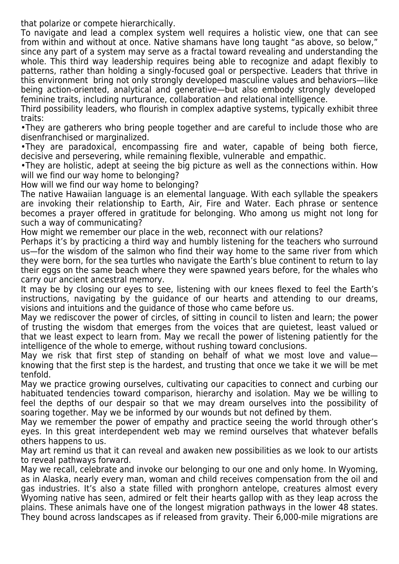that polarize or compete hierarchically.

To navigate and lead a complex system well requires a holistic view, one that can see from within and without at once. Native shamans have long taught "as above, so below," since any part of a system may serve as a fractal toward revealing and understanding the whole. This third way leadership requires being able to recognize and adapt flexibly to patterns, rather than holding a singly-focused goal or perspective. Leaders that thrive in this environment bring not only strongly developed masculine values and behaviors—like being action-oriented, analytical and generative—but also embody strongly developed feminine traits, including nurturance, collaboration and relational intelligence.

Third possibility leaders, who flourish in complex adaptive systems, typically exhibit three traits:

•They are gatherers who bring people together and are careful to include those who are disenfranchised or marginalized.

•They are paradoxical, encompassing fire and water, capable of being both fierce, decisive and persevering, while remaining flexible, vulnerable and empathic.

•They are holistic, adept at seeing the big picture as well as the connections within. How will we find our way home to belonging?

How will we find our way home to belonging?

The native Hawaiian language is an elemental language. With each syllable the speakers are invoking their relationship to Earth, Air, Fire and Water. Each phrase or sentence becomes a prayer offered in gratitude for belonging. Who among us might not long for such a way of communicating?

How might we remember our place in the web, reconnect with our relations?

Perhaps it's by practicing a third way and humbly listening for the teachers who surround us—for the wisdom of the salmon who find their way home to the same river from which they were born, for the sea turtles who navigate the Earth's blue continent to return to lay their eggs on the same beach where they were spawned years before, for the whales who carry our ancient ancestral memory.

It may be by closing our eyes to see, listening with our knees flexed to feel the Earth's instructions, navigating by the guidance of our hearts and attending to our dreams, visions and intuitions and the guidance of those who came before us.

May we rediscover the power of circles, of sitting in council to listen and learn; the power of trusting the wisdom that emerges from the voices that are quietest, least valued or that we least expect to learn from. May we recall the power of listening patiently for the intelligence of the whole to emerge, without rushing toward conclusions.

May we risk that first step of standing on behalf of what we most love and value knowing that the first step is the hardest, and trusting that once we take it we will be met tenfold.

May we practice growing ourselves, cultivating our capacities to connect and curbing our habituated tendencies toward comparison, hierarchy and isolation. May we be willing to feel the depths of our despair so that we may dream ourselves into the possibility of soaring together. May we be informed by our wounds but not defined by them.

May we remember the power of empathy and practice seeing the world through other's eyes. In this great interdependent web may we remind ourselves that whatever befalls others happens to us.

May art remind us that it can reveal and awaken new possibilities as we look to our artists to reveal pathways forward.

May we recall, celebrate and invoke our belonging to our one and only home. In Wyoming, as in Alaska, nearly every man, woman and child receives compensation from the oil and gas industries. It's also a state filled with pronghorn antelope, creatures almost every Wyoming native has seen, admired or felt their hearts gallop with as they leap across the plains. These animals have one of the longest migration pathways in the lower 48 states. They bound across landscapes as if released from gravity. Their 6,000-mile migrations are